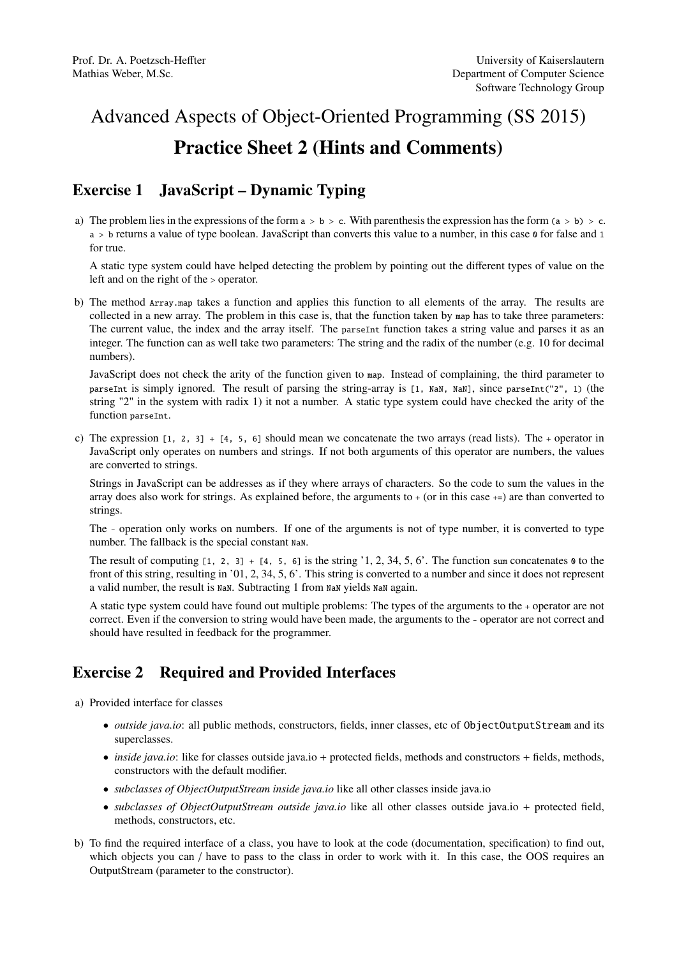# Advanced Aspects of Object-Oriented Programming (SS 2015) Practice Sheet 2 (Hints and Comments)

## Exercise 1 JavaScript – Dynamic Typing

a) The problem lies in the expressions of the form  $a > b > c$ . With parenthesis the expression has the form  $(a > b) > c$ . a > b returns a value of type boolean. JavaScript than converts this value to a number, in this case 0 for false and 1 for true.

A static type system could have helped detecting the problem by pointing out the different types of value on the left and on the right of the > operator.

b) The method Array.map takes a function and applies this function to all elements of the array. The results are collected in a new array. The problem in this case is, that the function taken by map has to take three parameters: The current value, the index and the array itself. The parseInt function takes a string value and parses it as an integer. The function can as well take two parameters: The string and the radix of the number (e.g. 10 for decimal numbers).

JavaScript does not check the arity of the function given to map. Instead of complaining, the third parameter to parseInt is simply ignored. The result of parsing the string-array is [1, NaN, NaN], since parseInt("2", 1) (the string "2" in the system with radix 1) it not a number. A static type system could have checked the arity of the function parseInt.

c) The expression  $[1, 2, 3] + [4, 5, 6]$  should mean we concatenate the two arrays (read lists). The + operator in JavaScript only operates on numbers and strings. If not both arguments of this operator are numbers, the values are converted to strings.

Strings in JavaScript can be addresses as if they where arrays of characters. So the code to sum the values in the array does also work for strings. As explained before, the arguments to  $+$  (or in this case  $+=$ ) are than converted to strings.

The - operation only works on numbers. If one of the arguments is not of type number, it is converted to type number. The fallback is the special constant NaN.

The result of computing  $[1, 2, 3] + [4, 5, 6]$  is the string  $[1, 2, 34, 5, 6]$ . The function sum concatenates  $\emptyset$  to the front of this string, resulting in '01, 2, 34, 5, 6'. This string is converted to a number and since it does not represent a valid number, the result is NaN. Subtracting 1 from NaN yields NaN again.

A static type system could have found out multiple problems: The types of the arguments to the + operator are not correct. Even if the conversion to string would have been made, the arguments to the - operator are not correct and should have resulted in feedback for the programmer.

## Exercise 2 Required and Provided Interfaces

a) Provided interface for classes

- *outside java.io*: all public methods, constructors, fields, inner classes, etc of ObjectOutputStream and its superclasses.
- *inside java.io*: like for classes outside java.io + protected fields, methods and constructors + fields, methods, constructors with the default modifier.
- *subclasses of ObjectOutputStream inside java.io* like all other classes inside java.io
- *subclasses of ObjectOutputStream outside java.io* like all other classes outside java.io + protected field, methods, constructors, etc.
- b) To find the required interface of a class, you have to look at the code (documentation, specification) to find out, which objects you can / have to pass to the class in order to work with it. In this case, the OOS requires an OutputStream (parameter to the constructor).